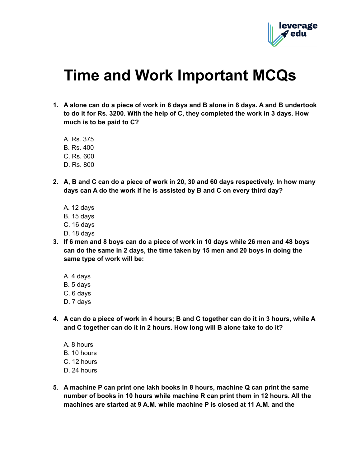

## **Time and Work Important MCQs**

- 1. A alone can do a piece of work in 6 days and B alone in 8 days. A and B undertook **to do it for Rs. 3200. With the help of C, they completed the work in 3 days. How much is to be paid to C?**
	- A. Rs. 375
	- B. Rs. 400
	- C. Rs. 600
	- D. Rs. 800
- 2. A, B and C can do a piece of work in 20, 30 and 60 days respectively. In how many **days can A do the work if he is assisted by B and C on every third day?**
	- A. 12 days
	- B. 15 days
	- C. 16 days
	- D. 18 days
- 3. If 6 men and 8 boys can do a piece of work in 10 days while 26 men and 48 boys **can do the same in 2 days, the time taken by 15 men and 20 boys in doing the same type of work will be:**
	- A. 4 days
	- B. 5 days
	- C. 6 days
	- D. 7 days
- 4. A can do a piece of work in 4 hours; B and C together can do it in 3 hours, while A **and C together can do it in 2 hours. How long will B alone take to do it?**
	- A. 8 hours
	- B. 10 hours
	- C. 12 hours
	- D. 24 hours
- **5. A machine P can print one lakh books in 8 hours, machine Q can print the same number of books in 10 hours while machine R can print them in 12 hours. All the machines are started at 9 A.M. while machine P is closed at 11 A.M. and the**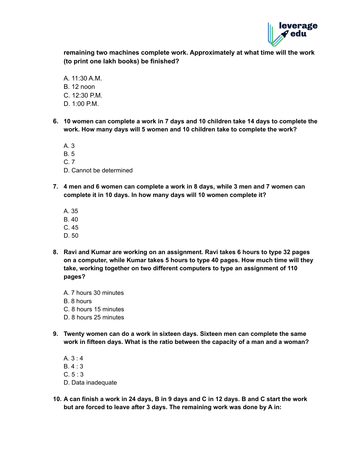

**remaining two machines complete work. Approximately at what time will the work (to print one lakh books) be finished?**

- A. 11:30 A.M. B. 12 noon  $C. 12:30 P.M.$ D. 1:00 P.M.
- **6. 10 women can complete a work in 7 days and 10 children take 14 days to complete the work. How many days will 5 women and 10 children take to complete the work?**

A. 3 B. 5

C. 7

- D. Cannot be determined
- **7. 4 men and 6 women can complete a work in 8 days, while 3 men and 7 women can complete it in 10 days. In how many days will 10 women complete it?**
	- A. 35
	- B. 40
	- C. 45
	- D. 50
- **8. Ravi and Kumar are working on an assignment. Ravi takes 6 hours to type 32 pages on a computer, while Kumar takes 5 hours to type 40 pages. How much time will they take, working together on two different computers to type an assignment of 110 pages?**
	- A. 7 hours 30 minutes B. 8 hours
	- C. 8 hours 15 minutes
	- D. 8 hours 25 minutes
- **9. Twenty women can do a work in sixteen days. Sixteen men can complete the same work in fifteen days. What is the ratio between the capacity of a man and a woman?**
	- A. 3 : 4 B. 4 : 3  $C. 5:3$ D. Data inadequate
- **10. A can finish a work in 24 days, B in 9 days and C in 12 days. B and C start the work but are forced to leave after 3 days. The remaining work was done by A in:**